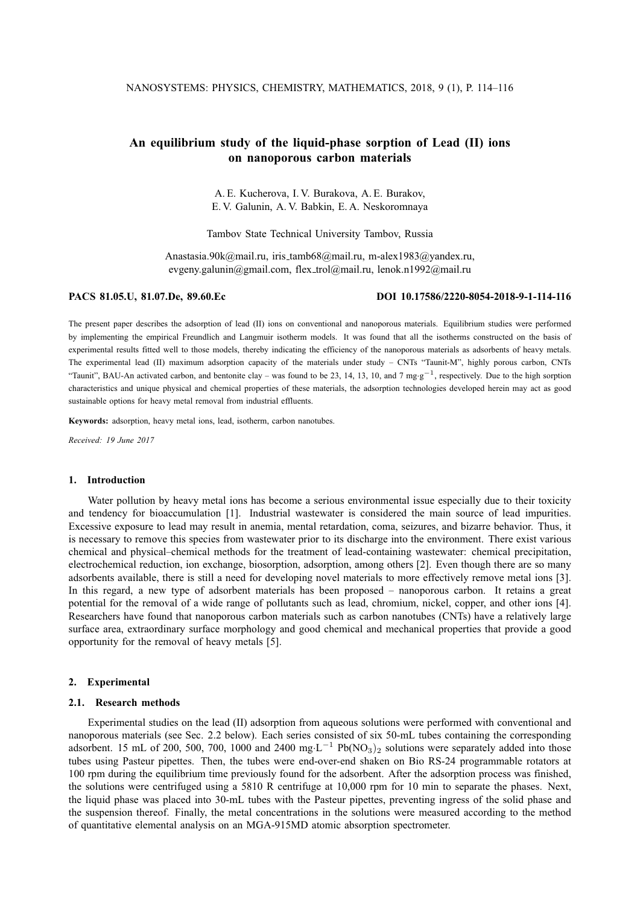# **An equilibrium study of the liquid-phase sorption of Lead (II) ions on nanoporous carbon materials**

A. E. Kucherova, I. V. Burakova, A. E. Burakov, E. V. Galunin, A. V. Babkin, E. A. Neskoromnaya

Tambov State Technical University Tambov, Russia

Anastasia.90k@mail.ru, iris tamb68@mail.ru, m-alex1983@yandex.ru, evgeny.galunin@gmail.com, flex trol@mail.ru, lenok.n1992@mail.ru

**PACS 81.05.U, 81.07.De, 89.60.Ec DOI 10.17586/2220-8054-2018-9-1-114-116**

The present paper describes the adsorption of lead (II) ions on conventional and nanoporous materials. Equilibrium studies were performed by implementing the empirical Freundlich and Langmuir isotherm models. It was found that all the isotherms constructed on the basis of experimental results fitted well to those models, thereby indicating the efficiency of the nanoporous materials as adsorbents of heavy metals. The experimental lead (II) maximum adsorption capacity of the materials under study – CNTs "Taunit-M", highly porous carbon, CNTs "Taunit", BAU-An activated carbon, and bentonite clay – was found to be 23, 14, 13, 10, and 7 mg·g<sup>-1</sup>, respectively. Due to the high sorption characteristics and unique physical and chemical properties of these materials, the adsorption technologies developed herein may act as good sustainable options for heavy metal removal from industrial effluents.

**Keywords:** adsorption, heavy metal ions, lead, isotherm, carbon nanotubes.

*Received: 19 June 2017*

#### **1. Introduction**

Water pollution by heavy metal ions has become a serious environmental issue especially due to their toxicity and tendency for bioaccumulation [1]. Industrial wastewater is considered the main source of lead impurities. Excessive exposure to lead may result in anemia, mental retardation, coma, seizures, and bizarre behavior. Thus, it is necessary to remove this species from wastewater prior to its discharge into the environment. There exist various chemical and physical–chemical methods for the treatment of lead-containing wastewater: chemical precipitation, electrochemical reduction, ion exchange, biosorption, adsorption, among others [2]. Even though there are so many adsorbents available, there is still a need for developing novel materials to more effectively remove metal ions [3]. In this regard, a new type of adsorbent materials has been proposed – nanoporous carbon. It retains a great potential for the removal of a wide range of pollutants such as lead, chromium, nickel, copper, and other ions [4]. Researchers have found that nanoporous carbon materials such as carbon nanotubes (CNTs) have a relatively large surface area, extraordinary surface morphology and good chemical and mechanical properties that provide a good opportunity for the removal of heavy metals [5].

### **2. Experimental**

## **2.1. Research methods**

Experimental studies on the lead (II) adsorption from aqueous solutions were performed with conventional and nanoporous materials (see Sec. 2.2 below). Each series consisted of six 50-mL tubes containing the corresponding adsorbent. 15 mL of 200, 500, 700, 1000 and 2400 mg·L<sup>-1</sup> Pb(NO<sub>3</sub>)<sub>2</sub> solutions were separately added into those tubes using Pasteur pipettes. Then, the tubes were end-over-end shaken on Bio RS-24 programmable rotators at 100 rpm during the equilibrium time previously found for the adsorbent. After the adsorption process was finished, the solutions were centrifuged using a 5810 R centrifuge at 10,000 rpm for 10 min to separate the phases. Next, the liquid phase was placed into 30-mL tubes with the Pasteur pipettes, preventing ingress of the solid phase and the suspension thereof. Finally, the metal concentrations in the solutions were measured according to the method of quantitative elemental analysis on an MGA-915MD atomic absorption spectrometer.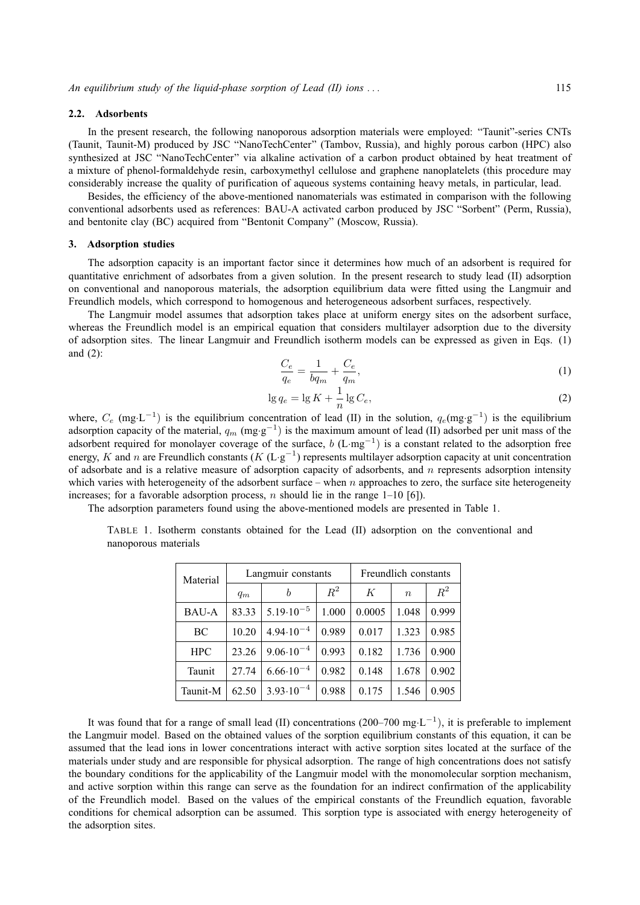#### **2.2. Adsorbents**

In the present research, the following nanoporous adsorption materials were employed: "Taunit"-series CNTs (Taunit, Taunit-M) produced by JSC "NanoTechCenter" (Tambov, Russia), and highly porous carbon (HPC) also synthesized at JSC "NanoTechCenter" via alkaline activation of a carbon product obtained by heat treatment of a mixture of phenol-formaldehyde resin, carboxymethyl cellulose and graphene nanoplatelets (this procedure may considerably increase the quality of purification of aqueous systems containing heavy metals, in particular, lead.

Besides, the efficiency of the above-mentioned nanomaterials was estimated in comparison with the following conventional adsorbents used as references: BAU-A activated carbon produced by JSC "Sorbent" (Perm, Russia), and bentonite clay (BC) acquired from "Bentonit Company" (Moscow, Russia).

#### **3. Adsorption studies**

The adsorption capacity is an important factor since it determines how much of an adsorbent is required for quantitative enrichment of adsorbates from a given solution. In the present research to study lead (II) adsorption on conventional and nanoporous materials, the adsorption equilibrium data were fitted using the Langmuir and Freundlich models, which correspond to homogenous and heterogeneous adsorbent surfaces, respectively.

The Langmuir model assumes that adsorption takes place at uniform energy sites on the adsorbent surface, whereas the Freundlich model is an empirical equation that considers multilayer adsorption due to the diversity of adsorption sites. The linear Langmuir and Freundlich isotherm models can be expressed as given in Eqs. (1) and (2):

$$
\frac{C_e}{q_e} = \frac{1}{bq_m} + \frac{C_e}{q_m},\tag{1}
$$

$$
\lg q_e = \lg K + \frac{1}{n} \lg C_e,\tag{2}
$$

where,  $C_e$  (mg·L<sup>-1</sup>) is the equilibrium concentration of lead (II) in the solution,  $q_e$ (mg·g<sup>-1</sup>) is the equilibrium adsorption capacity of the material,  $q_m$  (mg·g<sup>-1</sup>) is the maximum amount of lead (II) adsorbed per unit mass of the adsorbent required for monolayer coverage of the surface,  $b$  (L·mg<sup>-1</sup>) is a constant related to the adsorption free energy, K and n are Freundlich constants ( $K(L \cdot g^{-1})$  represents multilayer adsorption capacity at unit concentration of adsorbate and is a relative measure of adsorption capacity of adsorbents, and  $n$  represents adsorption intensity which varies with heterogeneity of the adsorbent surface – when n approaches to zero, the surface site heterogeneity increases; for a favorable adsorption process,  $n$  should lie in the range 1–10 [6]).

The adsorption parameters found using the above-mentioned models are presented in Table 1.

| Material     | Langmuir constants |                      |       | Freundlich constants |                  |       |
|--------------|--------------------|----------------------|-------|----------------------|------------------|-------|
|              | $q_m$              | b                    | $R^2$ | К                    | $\boldsymbol{n}$ | $R^2$ |
| <b>BAU-A</b> | 83.33              | $5.19 \cdot 10^{-5}$ | 1.000 | 0.0005               | 1.048            | 0.999 |
| BC           | 10.20              | $4.94 \cdot 10^{-4}$ | 0.989 | 0.017                | 1.323            | 0.985 |
| <b>HPC</b>   | 23.26              | $9.06 \cdot 10^{-4}$ | 0.993 | 0.182                | 1.736            | 0.900 |
| Taunit       | 27.74              | $6.66 \cdot 10^{-4}$ | 0.982 | 0.148                | 1.678            | 0.902 |
| Taunit-M     | 62.50              | $3.93 \cdot 10^{-4}$ | 0.988 | 0.175                | 1.546            | 0.905 |

TABLE 1. Isotherm constants obtained for the Lead (II) adsorption on the conventional and nanoporous materials

It was found that for a range of small lead (II) concentrations (200–700 mg·L<sup>-1</sup>), it is preferable to implement the Langmuir model. Based on the obtained values of the sorption equilibrium constants of this equation, it can be assumed that the lead ions in lower concentrations interact with active sorption sites located at the surface of the materials under study and are responsible for physical adsorption. The range of high concentrations does not satisfy the boundary conditions for the applicability of the Langmuir model with the monomolecular sorption mechanism, and active sorption within this range can serve as the foundation for an indirect confirmation of the applicability of the Freundlich model. Based on the values of the empirical constants of the Freundlich equation, favorable conditions for chemical adsorption can be assumed. This sorption type is associated with energy heterogeneity of the adsorption sites.